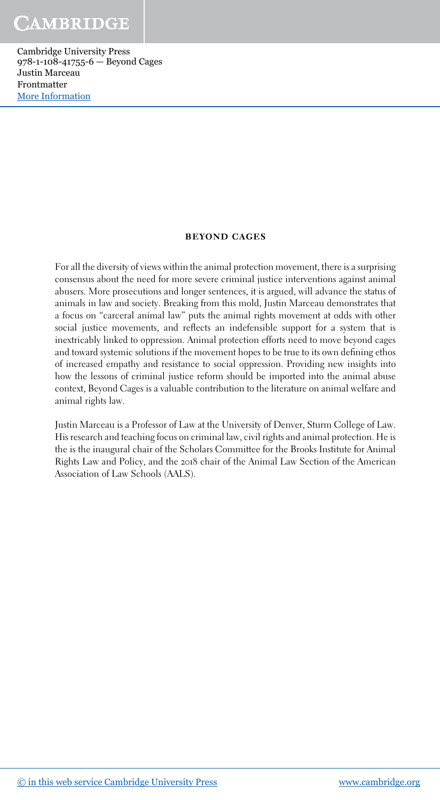#### beyond cages

For all the diversity of views within the animal protection movement, there is a surprising consensus about the need for more severe criminal justice interventions against animal abusers. More prosecutions and longer sentences, it is argued, will advance the status of animals in law and society. Breaking from this mold, Justin Marceau demonstrates that a focus on "carceral animal law" puts the animal rights movement at odds with other social justice movements, and reflects an indefensible support for a system that is inextricably linked to oppression. Animal protection efforts need to move beyond cages and toward systemic solutions if the movement hopes to be true to its own defining ethos of increased empathy and resistance to social oppression. Providing new insights into how the lessons of criminal justice reform should be imported into the animal abuse context, Beyond Cages is a valuable contribution to the literature on animal welfare and animal rights law.

Justin Marceau is a Professor of Law at the University of Denver, Sturm College of Law. His research and teaching focus on criminal law, civil rights and animal protection. He is the is the inaugural chair of the Scholars Committee for the Brooks Institute for Animal Rights Law and Policy, and the 2018 chair of the Animal Law Section of the American Association of Law Schools (AALS).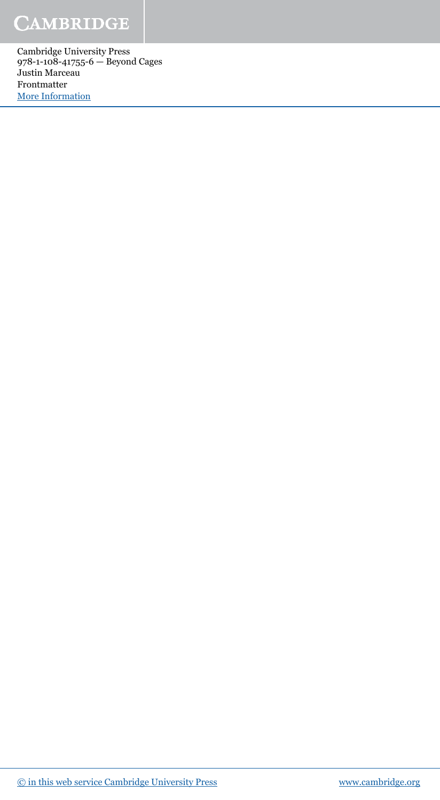## **CAMBRIDGE**

Cambridge University Press 978-1-108-41755-6 — Beyond Cages Justin Marceau Frontmatter [More Information](www.cambridge.org/9781108417556)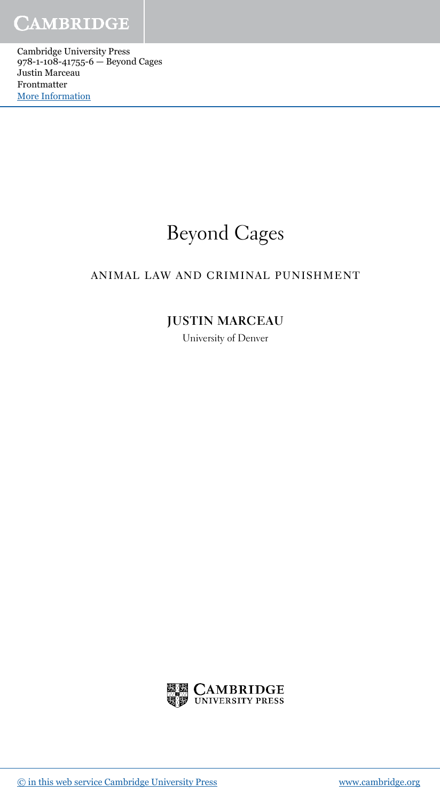# Beyond Cages

#### animal law and criminal punishment

### JUSTIN MARCEAU

University of Denver



[© in this web service Cambridge University Press](www.cambridge.org) www.cambridge.org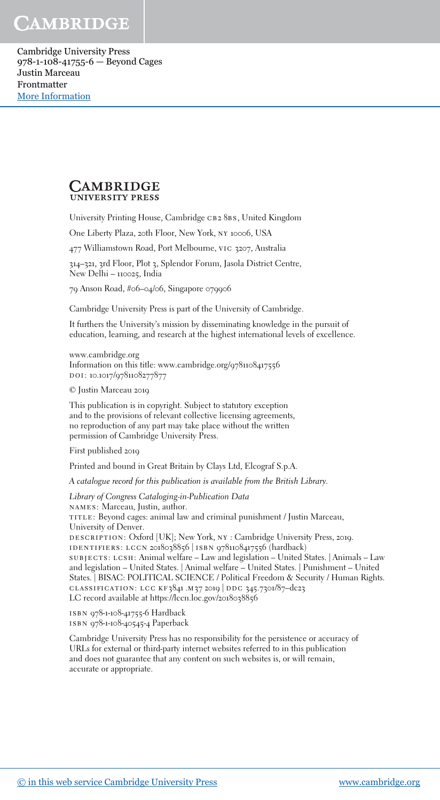#### **CAMBRIDGE UNIVERSITY PRESS**

University Printing House, Cambridge CB2 8BS, United Kingdom

One Liberty Plaza, 20th Floor, New York, ny 10006, USA

477 Williamstown Road, Port Melbourne, vic 3207, Australia

314–321, 3rd Floor, Plot 3, Splendor Forum, Jasola District Centre, New Delhi – 110025, India

79 Anson Road, #06–04/06, Singapore 079906

Cambridge University Press is part of the University of Cambridge.

It furthers the University's mission by disseminating knowledge in the pursuit of education, learning, and research at the highest international levels of excellence.

www.cambridge.org Information on this title: www.cambridge.org/9781108417556 DOI: 10.1017/9781108277877

© Justin Marceau 2019

This publication is in copyright. Subject to statutory exception and to the provisions of relevant collective licensing agreements, no reproduction of any part may take place without the written permission of Cambridge University Press.

First published 2019

Printed and bound in Great Britain by Clays Ltd, Elcograf S.p.A.

A catalogue record for this publication is available from the British Library.

Library of Congress Cataloging-in-Publication Data names: Marceau, Justin, author. title: Beyond cages: animal law and criminal punishment / Justin Marceau, University of Denver. DESCRIPTION: Oxford [UK]; New York, NY : Cambridge University Press, 2019. IDENTIFIERS: LCCN 2018038856 | ISBN 9781108417556 (hardback) subjects: lcsh: Animal welfare – Law and legislation – United States. | Animals – Law and legislation – United States. | Animal welfare – United States. | Punishment – United States. | BISAC: POLITICAL SCIENCE / Political Freedom & Security / Human Rights. clas sification: lcc kf3841 .m37 2019 | ddc 345.7301/87–dc23 LC record available at https://lccn.loc.gov/2018038856

i sbn 978-1-108-41755-6 Hardback i sbn 978-1-108-40545-4 Paperback

Cambridge University Press has no responsibility for the persistence or accuracy of URLs for external or third-party internet websites referred to in this publication and does not guarantee that any content on such websites is, or will remain, accurate or appropriate.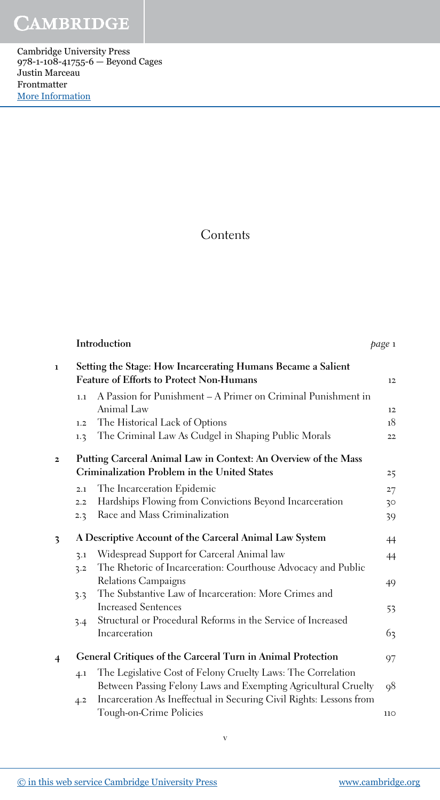## **Contents**

|                                                                                                                 |                                                               | page 1                                                                                                                                                                                                                                                                                                                                                                                                                                                                                                    |
|-----------------------------------------------------------------------------------------------------------------|---------------------------------------------------------------|-----------------------------------------------------------------------------------------------------------------------------------------------------------------------------------------------------------------------------------------------------------------------------------------------------------------------------------------------------------------------------------------------------------------------------------------------------------------------------------------------------------|
| Setting the Stage: How Incarcerating Humans Became a Salient<br><b>Feature of Efforts to Protect Non-Humans</b> |                                                               |                                                                                                                                                                                                                                                                                                                                                                                                                                                                                                           |
| 1.1                                                                                                             | A Passion for Punishment - A Primer on Criminal Punishment in |                                                                                                                                                                                                                                                                                                                                                                                                                                                                                                           |
|                                                                                                                 |                                                               | 12                                                                                                                                                                                                                                                                                                                                                                                                                                                                                                        |
| 1.2                                                                                                             |                                                               | 18                                                                                                                                                                                                                                                                                                                                                                                                                                                                                                        |
| 1.3                                                                                                             |                                                               | 22                                                                                                                                                                                                                                                                                                                                                                                                                                                                                                        |
|                                                                                                                 |                                                               |                                                                                                                                                                                                                                                                                                                                                                                                                                                                                                           |
|                                                                                                                 |                                                               | 25                                                                                                                                                                                                                                                                                                                                                                                                                                                                                                        |
| 2.1                                                                                                             | The Incarceration Epidemic                                    | 27                                                                                                                                                                                                                                                                                                                                                                                                                                                                                                        |
| 2.2                                                                                                             | Hardships Flowing from Convictions Beyond Incarceration       | 30                                                                                                                                                                                                                                                                                                                                                                                                                                                                                                        |
| 2.3                                                                                                             | Race and Mass Criminalization                                 | 39                                                                                                                                                                                                                                                                                                                                                                                                                                                                                                        |
|                                                                                                                 |                                                               | 44                                                                                                                                                                                                                                                                                                                                                                                                                                                                                                        |
| 3.1                                                                                                             | Widespread Support for Carceral Animal law                    | 44                                                                                                                                                                                                                                                                                                                                                                                                                                                                                                        |
| 3.2                                                                                                             | The Rhetoric of Incarceration: Courthouse Advocacy and Public |                                                                                                                                                                                                                                                                                                                                                                                                                                                                                                           |
|                                                                                                                 | Relations Campaigns                                           | 49                                                                                                                                                                                                                                                                                                                                                                                                                                                                                                        |
| 3.3                                                                                                             | The Substantive Law of Incarceration: More Crimes and         |                                                                                                                                                                                                                                                                                                                                                                                                                                                                                                           |
|                                                                                                                 | <b>Increased Sentences</b>                                    | 53                                                                                                                                                                                                                                                                                                                                                                                                                                                                                                        |
| 3.4                                                                                                             | Structural or Procedural Reforms in the Service of Increased  |                                                                                                                                                                                                                                                                                                                                                                                                                                                                                                           |
|                                                                                                                 | Incarceration                                                 | 63                                                                                                                                                                                                                                                                                                                                                                                                                                                                                                        |
|                                                                                                                 |                                                               | 97                                                                                                                                                                                                                                                                                                                                                                                                                                                                                                        |
| 4.1                                                                                                             | The Legislative Cost of Felony Cruelty Laws: The Correlation  |                                                                                                                                                                                                                                                                                                                                                                                                                                                                                                           |
|                                                                                                                 |                                                               | 98                                                                                                                                                                                                                                                                                                                                                                                                                                                                                                        |
|                                                                                                                 | Tough-on-Crime Policies                                       | 110                                                                                                                                                                                                                                                                                                                                                                                                                                                                                                       |
|                                                                                                                 | 4.2                                                           | Introduction<br>Animal Law<br>The Historical Lack of Options<br>The Criminal Law As Cudgel in Shaping Public Morals<br>Putting Carceral Animal Law in Context: An Overview of the Mass<br>Criminalization Problem in the United States<br>A Descriptive Account of the Carceral Animal Law System<br>General Critiques of the Carceral Turn in Animal Protection<br>Between Passing Felony Laws and Exempting Agricultural Cruelty<br>Incarceration As Ineffectual in Securing Civil Rights: Lessons from |

v